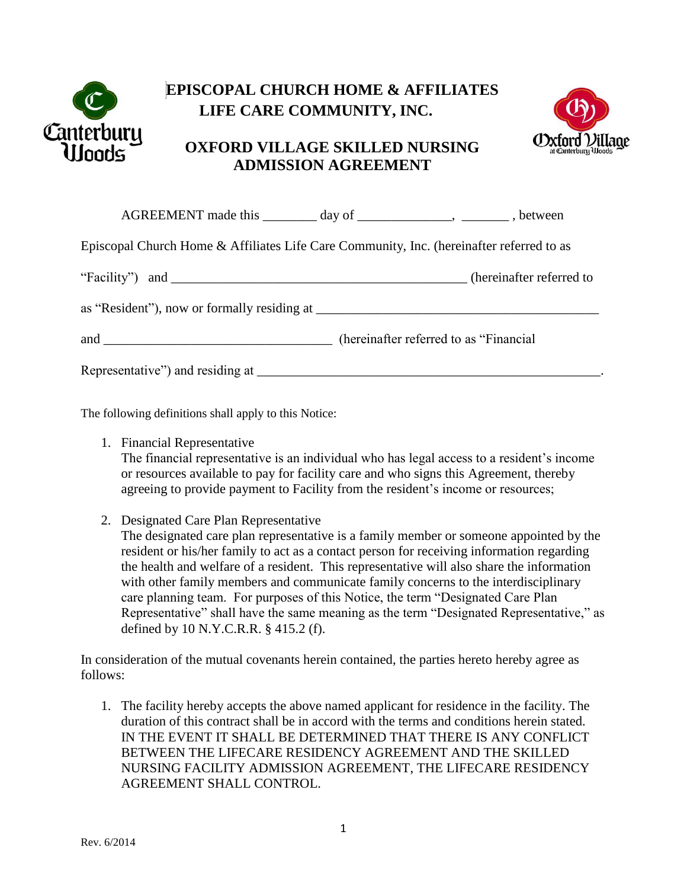

## **EPISCOPAL CHURCH HOME & AFFILIATES LIFE CARE COMMUNITY, INC.**

## **OXFORD VILLAGE SKILLED NURSING ADMISSION AGREEMENT**



|                                                                                          | AGREEMENT made this _________ day of ________________, _______, between |  |
|------------------------------------------------------------------------------------------|-------------------------------------------------------------------------|--|
| Episcopal Church Home & Affiliates Life Care Community, Inc. (hereinafter referred to as |                                                                         |  |
|                                                                                          |                                                                         |  |
|                                                                                          |                                                                         |  |
|                                                                                          |                                                                         |  |
|                                                                                          |                                                                         |  |

The following definitions shall apply to this Notice:

1. Financial Representative

The financial representative is an individual who has legal access to a resident's income or resources available to pay for facility care and who signs this Agreement, thereby agreeing to provide payment to Facility from the resident's income or resources;

2. Designated Care Plan Representative

The designated care plan representative is a family member or someone appointed by the resident or his/her family to act as a contact person for receiving information regarding the health and welfare of a resident. This representative will also share the information with other family members and communicate family concerns to the interdisciplinary care planning team. For purposes of this Notice, the term "Designated Care Plan Representative" shall have the same meaning as the term "Designated Representative," as defined by 10 N.Y.C.R.R. § 415.2 (f).

In consideration of the mutual covenants herein contained, the parties hereto hereby agree as follows:

1. The facility hereby accepts the above named applicant for residence in the facility. The duration of this contract shall be in accord with the terms and conditions herein stated. IN THE EVENT IT SHALL BE DETERMINED THAT THERE IS ANY CONFLICT BETWEEN THE LIFECARE RESIDENCY AGREEMENT AND THE SKILLED NURSING FACILITY ADMISSION AGREEMENT, THE LIFECARE RESIDENCY AGREEMENT SHALL CONTROL.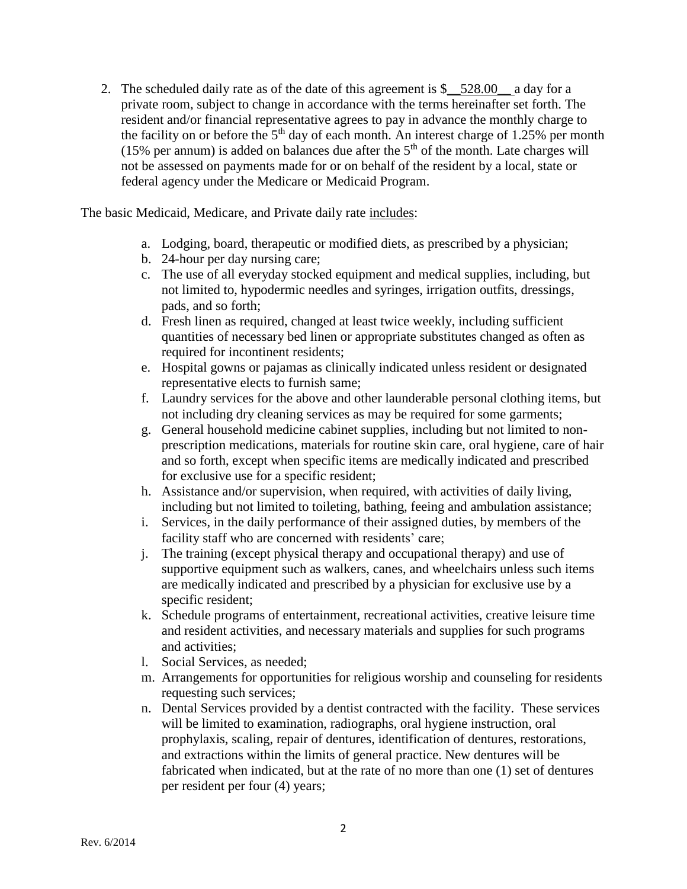2. The scheduled daily rate as of the date of this agreement is  $\frac{1}{2}$  528.00  $\frac{1}{2}$  a day for a private room, subject to change in accordance with the terms hereinafter set forth. The resident and/or financial representative agrees to pay in advance the monthly charge to the facility on or before the  $5<sup>th</sup>$  day of each month. An interest charge of 1.25% per month (15% per annum) is added on balances due after the  $5<sup>th</sup>$  of the month. Late charges will not be assessed on payments made for or on behalf of the resident by a local, state or federal agency under the Medicare or Medicaid Program.

The basic Medicaid, Medicare, and Private daily rate includes:

- a. Lodging, board, therapeutic or modified diets, as prescribed by a physician;
- b. 24-hour per day nursing care;
- c. The use of all everyday stocked equipment and medical supplies, including, but not limited to, hypodermic needles and syringes, irrigation outfits, dressings, pads, and so forth;
- d. Fresh linen as required, changed at least twice weekly, including sufficient quantities of necessary bed linen or appropriate substitutes changed as often as required for incontinent residents;
- e. Hospital gowns or pajamas as clinically indicated unless resident or designated representative elects to furnish same;
- f. Laundry services for the above and other launderable personal clothing items, but not including dry cleaning services as may be required for some garments;
- g. General household medicine cabinet supplies, including but not limited to nonprescription medications, materials for routine skin care, oral hygiene, care of hair and so forth, except when specific items are medically indicated and prescribed for exclusive use for a specific resident;
- h. Assistance and/or supervision, when required, with activities of daily living, including but not limited to toileting, bathing, feeing and ambulation assistance;
- i. Services, in the daily performance of their assigned duties, by members of the facility staff who are concerned with residents' care;
- j. The training (except physical therapy and occupational therapy) and use of supportive equipment such as walkers, canes, and wheelchairs unless such items are medically indicated and prescribed by a physician for exclusive use by a specific resident;
- k. Schedule programs of entertainment, recreational activities, creative leisure time and resident activities, and necessary materials and supplies for such programs and activities;
- l. Social Services, as needed;
- m. Arrangements for opportunities for religious worship and counseling for residents requesting such services;
- n. Dental Services provided by a dentist contracted with the facility. These services will be limited to examination, radiographs, oral hygiene instruction, oral prophylaxis, scaling, repair of dentures, identification of dentures, restorations, and extractions within the limits of general practice. New dentures will be fabricated when indicated, but at the rate of no more than one (1) set of dentures per resident per four (4) years;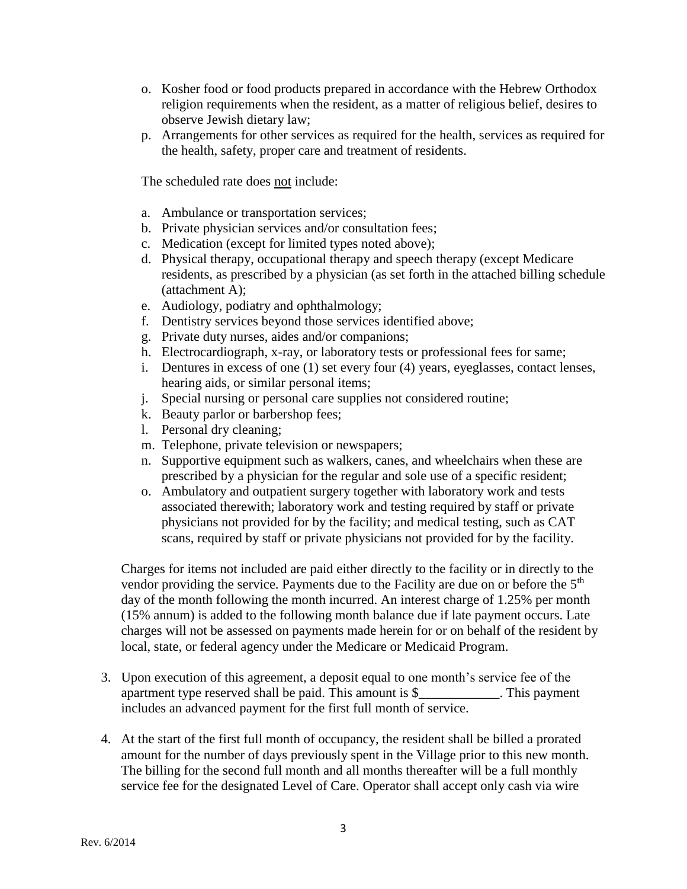- o. Kosher food or food products prepared in accordance with the Hebrew Orthodox religion requirements when the resident, as a matter of religious belief, desires to observe Jewish dietary law;
- p. Arrangements for other services as required for the health, services as required for the health, safety, proper care and treatment of residents.

The scheduled rate does not include:

- a. Ambulance or transportation services;
- b. Private physician services and/or consultation fees;
- c. Medication (except for limited types noted above);
- d. Physical therapy, occupational therapy and speech therapy (except Medicare residents, as prescribed by a physician (as set forth in the attached billing schedule (attachment A);
- e. Audiology, podiatry and ophthalmology;
- f. Dentistry services beyond those services identified above;
- g. Private duty nurses, aides and/or companions;
- h. Electrocardiograph, x-ray, or laboratory tests or professional fees for same;
- i. Dentures in excess of one (1) set every four (4) years, eyeglasses, contact lenses, hearing aids, or similar personal items;
- j. Special nursing or personal care supplies not considered routine;
- k. Beauty parlor or barbershop fees;
- l. Personal dry cleaning;
- m. Telephone, private television or newspapers;
- n. Supportive equipment such as walkers, canes, and wheelchairs when these are prescribed by a physician for the regular and sole use of a specific resident;
- o. Ambulatory and outpatient surgery together with laboratory work and tests associated therewith; laboratory work and testing required by staff or private physicians not provided for by the facility; and medical testing, such as CAT scans, required by staff or private physicians not provided for by the facility.

Charges for items not included are paid either directly to the facility or in directly to the vendor providing the service. Payments due to the Facility are due on or before the 5<sup>th</sup> day of the month following the month incurred. An interest charge of 1.25% per month (15% annum) is added to the following month balance due if late payment occurs. Late charges will not be assessed on payments made herein for or on behalf of the resident by local, state, or federal agency under the Medicare or Medicaid Program.

- 3. Upon execution of this agreement, a deposit equal to one month's service fee of the apartment type reserved shall be paid. This amount is \$ This payment includes an advanced payment for the first full month of service.
- 4. At the start of the first full month of occupancy, the resident shall be billed a prorated amount for the number of days previously spent in the Village prior to this new month. The billing for the second full month and all months thereafter will be a full monthly service fee for the designated Level of Care. Operator shall accept only cash via wire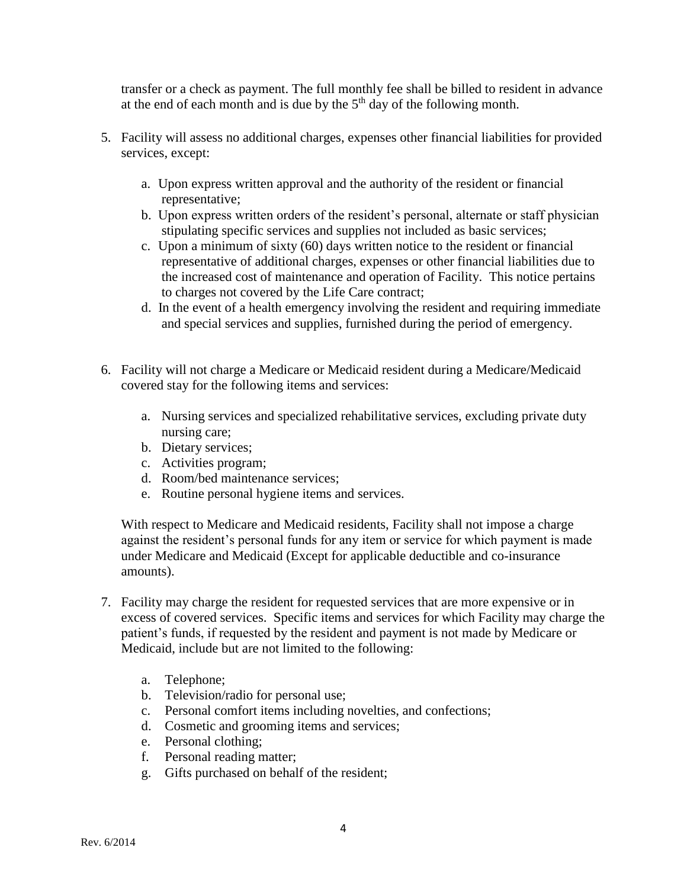transfer or a check as payment. The full monthly fee shall be billed to resident in advance at the end of each month and is due by the  $5<sup>th</sup>$  day of the following month.

- 5. Facility will assess no additional charges, expenses other financial liabilities for provided services, except:
	- a. Upon express written approval and the authority of the resident or financial representative;
	- b. Upon express written orders of the resident's personal, alternate or staff physician stipulating specific services and supplies not included as basic services;
	- c. Upon a minimum of sixty (60) days written notice to the resident or financial representative of additional charges, expenses or other financial liabilities due to the increased cost of maintenance and operation of Facility. This notice pertains to charges not covered by the Life Care contract;
	- d. In the event of a health emergency involving the resident and requiring immediate and special services and supplies, furnished during the period of emergency.
- 6. Facility will not charge a Medicare or Medicaid resident during a Medicare/Medicaid covered stay for the following items and services:
	- a. Nursing services and specialized rehabilitative services, excluding private duty nursing care;
	- b. Dietary services;
	- c. Activities program;
	- d. Room/bed maintenance services;
	- e. Routine personal hygiene items and services.

With respect to Medicare and Medicaid residents, Facility shall not impose a charge against the resident's personal funds for any item or service for which payment is made under Medicare and Medicaid (Except for applicable deductible and co-insurance amounts).

- 7. Facility may charge the resident for requested services that are more expensive or in excess of covered services. Specific items and services for which Facility may charge the patient's funds, if requested by the resident and payment is not made by Medicare or Medicaid, include but are not limited to the following:
	- a. Telephone;
	- b. Television/radio for personal use;
	- c. Personal comfort items including novelties, and confections;
	- d. Cosmetic and grooming items and services;
	- e. Personal clothing;
	- f. Personal reading matter;
	- g. Gifts purchased on behalf of the resident;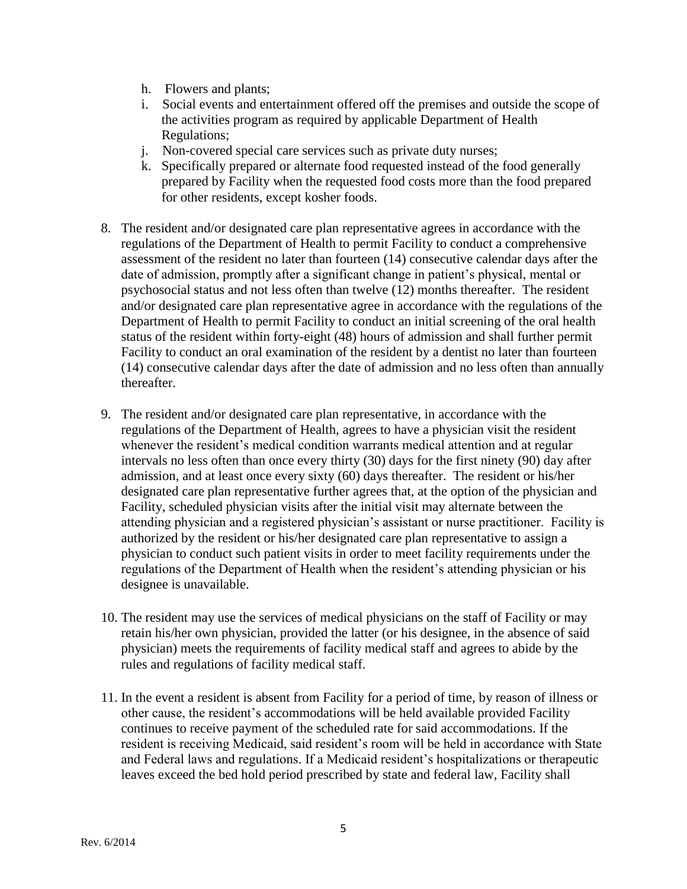- h. Flowers and plants;
- i. Social events and entertainment offered off the premises and outside the scope of the activities program as required by applicable Department of Health Regulations;
- j. Non-covered special care services such as private duty nurses;
- k. Specifically prepared or alternate food requested instead of the food generally prepared by Facility when the requested food costs more than the food prepared for other residents, except kosher foods.
- 8. The resident and/or designated care plan representative agrees in accordance with the regulations of the Department of Health to permit Facility to conduct a comprehensive assessment of the resident no later than fourteen (14) consecutive calendar days after the date of admission, promptly after a significant change in patient's physical, mental or psychosocial status and not less often than twelve (12) months thereafter. The resident and/or designated care plan representative agree in accordance with the regulations of the Department of Health to permit Facility to conduct an initial screening of the oral health status of the resident within forty-eight (48) hours of admission and shall further permit Facility to conduct an oral examination of the resident by a dentist no later than fourteen (14) consecutive calendar days after the date of admission and no less often than annually thereafter.
- 9. The resident and/or designated care plan representative, in accordance with the regulations of the Department of Health, agrees to have a physician visit the resident whenever the resident's medical condition warrants medical attention and at regular intervals no less often than once every thirty (30) days for the first ninety (90) day after admission, and at least once every sixty (60) days thereafter. The resident or his/her designated care plan representative further agrees that, at the option of the physician and Facility, scheduled physician visits after the initial visit may alternate between the attending physician and a registered physician's assistant or nurse practitioner. Facility is authorized by the resident or his/her designated care plan representative to assign a physician to conduct such patient visits in order to meet facility requirements under the regulations of the Department of Health when the resident's attending physician or his designee is unavailable.
- 10. The resident may use the services of medical physicians on the staff of Facility or may retain his/her own physician, provided the latter (or his designee, in the absence of said physician) meets the requirements of facility medical staff and agrees to abide by the rules and regulations of facility medical staff.
- 11. In the event a resident is absent from Facility for a period of time, by reason of illness or other cause, the resident's accommodations will be held available provided Facility continues to receive payment of the scheduled rate for said accommodations. If the resident is receiving Medicaid, said resident's room will be held in accordance with State and Federal laws and regulations. If a Medicaid resident's hospitalizations or therapeutic leaves exceed the bed hold period prescribed by state and federal law, Facility shall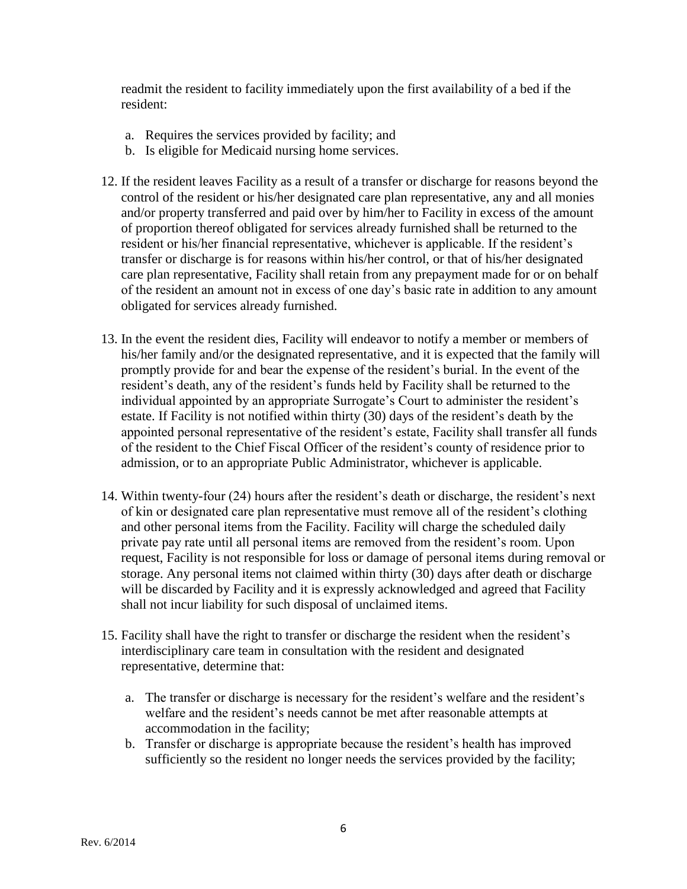readmit the resident to facility immediately upon the first availability of a bed if the resident:

- a. Requires the services provided by facility; and
- b. Is eligible for Medicaid nursing home services.
- 12. If the resident leaves Facility as a result of a transfer or discharge for reasons beyond the control of the resident or his/her designated care plan representative, any and all monies and/or property transferred and paid over by him/her to Facility in excess of the amount of proportion thereof obligated for services already furnished shall be returned to the resident or his/her financial representative, whichever is applicable. If the resident's transfer or discharge is for reasons within his/her control, or that of his/her designated care plan representative, Facility shall retain from any prepayment made for or on behalf of the resident an amount not in excess of one day's basic rate in addition to any amount obligated for services already furnished.
- 13. In the event the resident dies, Facility will endeavor to notify a member or members of his/her family and/or the designated representative, and it is expected that the family will promptly provide for and bear the expense of the resident's burial. In the event of the resident's death, any of the resident's funds held by Facility shall be returned to the individual appointed by an appropriate Surrogate's Court to administer the resident's estate. If Facility is not notified within thirty (30) days of the resident's death by the appointed personal representative of the resident's estate, Facility shall transfer all funds of the resident to the Chief Fiscal Officer of the resident's county of residence prior to admission, or to an appropriate Public Administrator, whichever is applicable.
- 14. Within twenty-four (24) hours after the resident's death or discharge, the resident's next of kin or designated care plan representative must remove all of the resident's clothing and other personal items from the Facility. Facility will charge the scheduled daily private pay rate until all personal items are removed from the resident's room. Upon request, Facility is not responsible for loss or damage of personal items during removal or storage. Any personal items not claimed within thirty (30) days after death or discharge will be discarded by Facility and it is expressly acknowledged and agreed that Facility shall not incur liability for such disposal of unclaimed items.
- 15. Facility shall have the right to transfer or discharge the resident when the resident's interdisciplinary care team in consultation with the resident and designated representative, determine that:
	- a. The transfer or discharge is necessary for the resident's welfare and the resident's welfare and the resident's needs cannot be met after reasonable attempts at accommodation in the facility;
	- b. Transfer or discharge is appropriate because the resident's health has improved sufficiently so the resident no longer needs the services provided by the facility;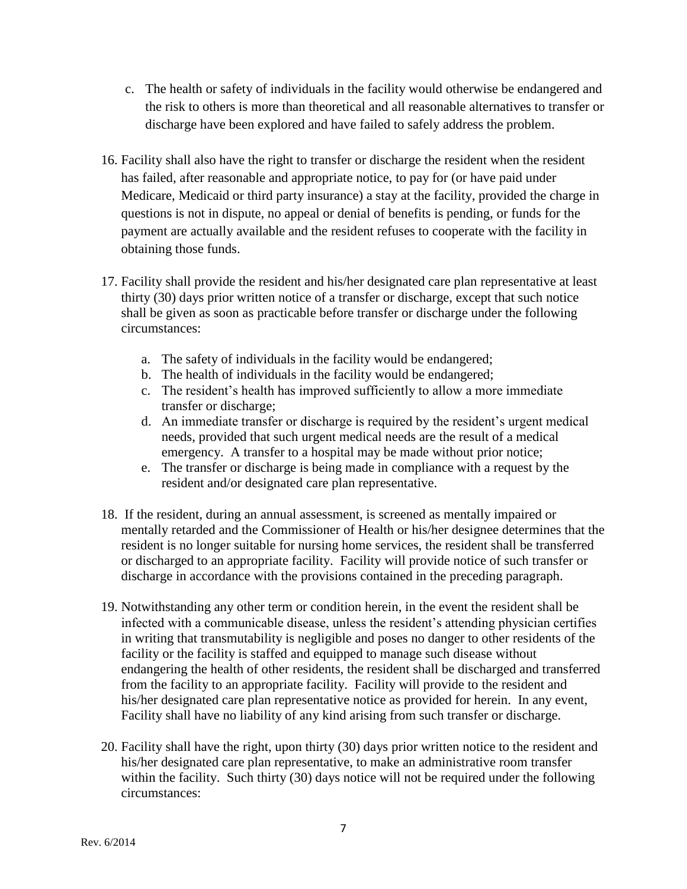- c. The health or safety of individuals in the facility would otherwise be endangered and the risk to others is more than theoretical and all reasonable alternatives to transfer or discharge have been explored and have failed to safely address the problem.
- 16. Facility shall also have the right to transfer or discharge the resident when the resident has failed, after reasonable and appropriate notice, to pay for (or have paid under Medicare, Medicaid or third party insurance) a stay at the facility, provided the charge in questions is not in dispute, no appeal or denial of benefits is pending, or funds for the payment are actually available and the resident refuses to cooperate with the facility in obtaining those funds.
- 17. Facility shall provide the resident and his/her designated care plan representative at least thirty (30) days prior written notice of a transfer or discharge, except that such notice shall be given as soon as practicable before transfer or discharge under the following circumstances:
	- a. The safety of individuals in the facility would be endangered;
	- b. The health of individuals in the facility would be endangered;
	- c. The resident's health has improved sufficiently to allow a more immediate transfer or discharge;
	- d. An immediate transfer or discharge is required by the resident's urgent medical needs, provided that such urgent medical needs are the result of a medical emergency. A transfer to a hospital may be made without prior notice;
	- e. The transfer or discharge is being made in compliance with a request by the resident and/or designated care plan representative.
- 18. If the resident, during an annual assessment, is screened as mentally impaired or mentally retarded and the Commissioner of Health or his/her designee determines that the resident is no longer suitable for nursing home services, the resident shall be transferred or discharged to an appropriate facility. Facility will provide notice of such transfer or discharge in accordance with the provisions contained in the preceding paragraph.
- 19. Notwithstanding any other term or condition herein, in the event the resident shall be infected with a communicable disease, unless the resident's attending physician certifies in writing that transmutability is negligible and poses no danger to other residents of the facility or the facility is staffed and equipped to manage such disease without endangering the health of other residents, the resident shall be discharged and transferred from the facility to an appropriate facility. Facility will provide to the resident and his/her designated care plan representative notice as provided for herein. In any event, Facility shall have no liability of any kind arising from such transfer or discharge.
- 20. Facility shall have the right, upon thirty (30) days prior written notice to the resident and his/her designated care plan representative, to make an administrative room transfer within the facility. Such thirty (30) days notice will not be required under the following circumstances: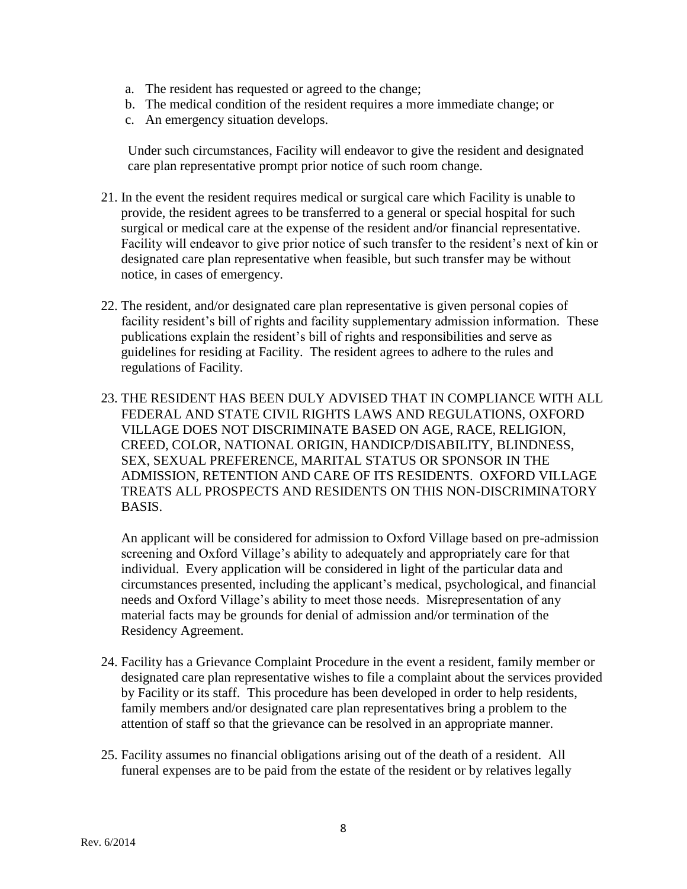- a. The resident has requested or agreed to the change;
- b. The medical condition of the resident requires a more immediate change; or
- c. An emergency situation develops.

 Under such circumstances, Facility will endeavor to give the resident and designated care plan representative prompt prior notice of such room change.

- 21. In the event the resident requires medical or surgical care which Facility is unable to provide, the resident agrees to be transferred to a general or special hospital for such surgical or medical care at the expense of the resident and/or financial representative. Facility will endeavor to give prior notice of such transfer to the resident's next of kin or designated care plan representative when feasible, but such transfer may be without notice, in cases of emergency.
- 22. The resident, and/or designated care plan representative is given personal copies of facility resident's bill of rights and facility supplementary admission information. These publications explain the resident's bill of rights and responsibilities and serve as guidelines for residing at Facility. The resident agrees to adhere to the rules and regulations of Facility.
- 23. THE RESIDENT HAS BEEN DULY ADVISED THAT IN COMPLIANCE WITH ALL FEDERAL AND STATE CIVIL RIGHTS LAWS AND REGULATIONS, OXFORD VILLAGE DOES NOT DISCRIMINATE BASED ON AGE, RACE, RELIGION, CREED, COLOR, NATIONAL ORIGIN, HANDICP/DISABILITY, BLINDNESS, SEX, SEXUAL PREFERENCE, MARITAL STATUS OR SPONSOR IN THE ADMISSION, RETENTION AND CARE OF ITS RESIDENTS. OXFORD VILLAGE TREATS ALL PROSPECTS AND RESIDENTS ON THIS NON-DISCRIMINATORY BASIS.

An applicant will be considered for admission to Oxford Village based on pre-admission screening and Oxford Village's ability to adequately and appropriately care for that individual. Every application will be considered in light of the particular data and circumstances presented, including the applicant's medical, psychological, and financial needs and Oxford Village's ability to meet those needs. Misrepresentation of any material facts may be grounds for denial of admission and/or termination of the Residency Agreement.

- 24. Facility has a Grievance Complaint Procedure in the event a resident, family member or designated care plan representative wishes to file a complaint about the services provided by Facility or its staff. This procedure has been developed in order to help residents, family members and/or designated care plan representatives bring a problem to the attention of staff so that the grievance can be resolved in an appropriate manner.
- 25. Facility assumes no financial obligations arising out of the death of a resident. All funeral expenses are to be paid from the estate of the resident or by relatives legally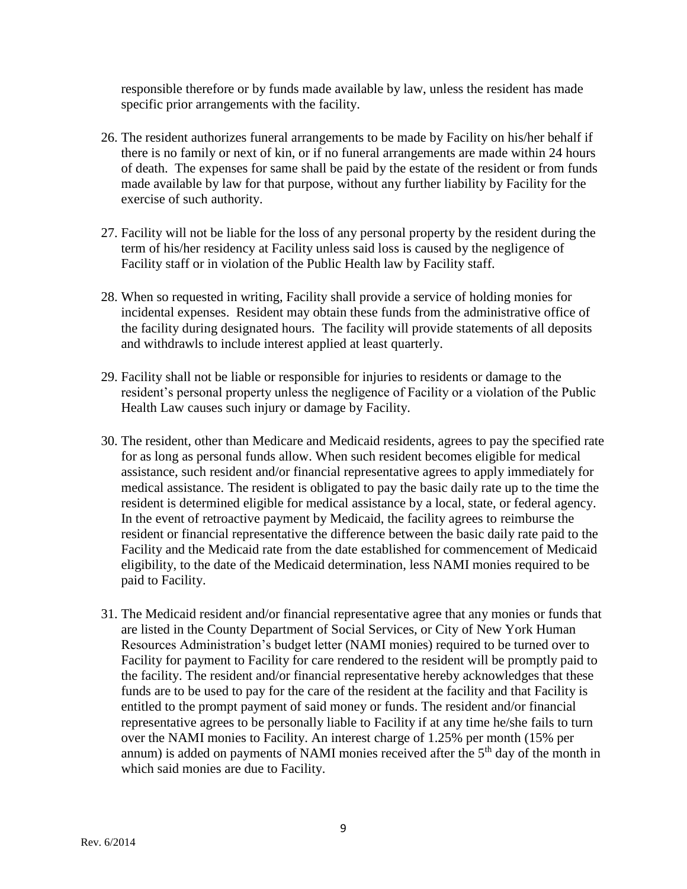responsible therefore or by funds made available by law, unless the resident has made specific prior arrangements with the facility.

- 26. The resident authorizes funeral arrangements to be made by Facility on his/her behalf if there is no family or next of kin, or if no funeral arrangements are made within 24 hours of death. The expenses for same shall be paid by the estate of the resident or from funds made available by law for that purpose, without any further liability by Facility for the exercise of such authority.
- 27. Facility will not be liable for the loss of any personal property by the resident during the term of his/her residency at Facility unless said loss is caused by the negligence of Facility staff or in violation of the Public Health law by Facility staff.
- 28. When so requested in writing, Facility shall provide a service of holding monies for incidental expenses. Resident may obtain these funds from the administrative office of the facility during designated hours. The facility will provide statements of all deposits and withdrawls to include interest applied at least quarterly.
- 29. Facility shall not be liable or responsible for injuries to residents or damage to the resident's personal property unless the negligence of Facility or a violation of the Public Health Law causes such injury or damage by Facility.
- 30. The resident, other than Medicare and Medicaid residents, agrees to pay the specified rate for as long as personal funds allow. When such resident becomes eligible for medical assistance, such resident and/or financial representative agrees to apply immediately for medical assistance. The resident is obligated to pay the basic daily rate up to the time the resident is determined eligible for medical assistance by a local, state, or federal agency. In the event of retroactive payment by Medicaid, the facility agrees to reimburse the resident or financial representative the difference between the basic daily rate paid to the Facility and the Medicaid rate from the date established for commencement of Medicaid eligibility, to the date of the Medicaid determination, less NAMI monies required to be paid to Facility.
- 31. The Medicaid resident and/or financial representative agree that any monies or funds that are listed in the County Department of Social Services, or City of New York Human Resources Administration's budget letter (NAMI monies) required to be turned over to Facility for payment to Facility for care rendered to the resident will be promptly paid to the facility. The resident and/or financial representative hereby acknowledges that these funds are to be used to pay for the care of the resident at the facility and that Facility is entitled to the prompt payment of said money or funds. The resident and/or financial representative agrees to be personally liable to Facility if at any time he/she fails to turn over the NAMI monies to Facility. An interest charge of 1.25% per month (15% per annum) is added on payments of NAMI monies received after the  $5<sup>th</sup>$  day of the month in which said monies are due to Facility.